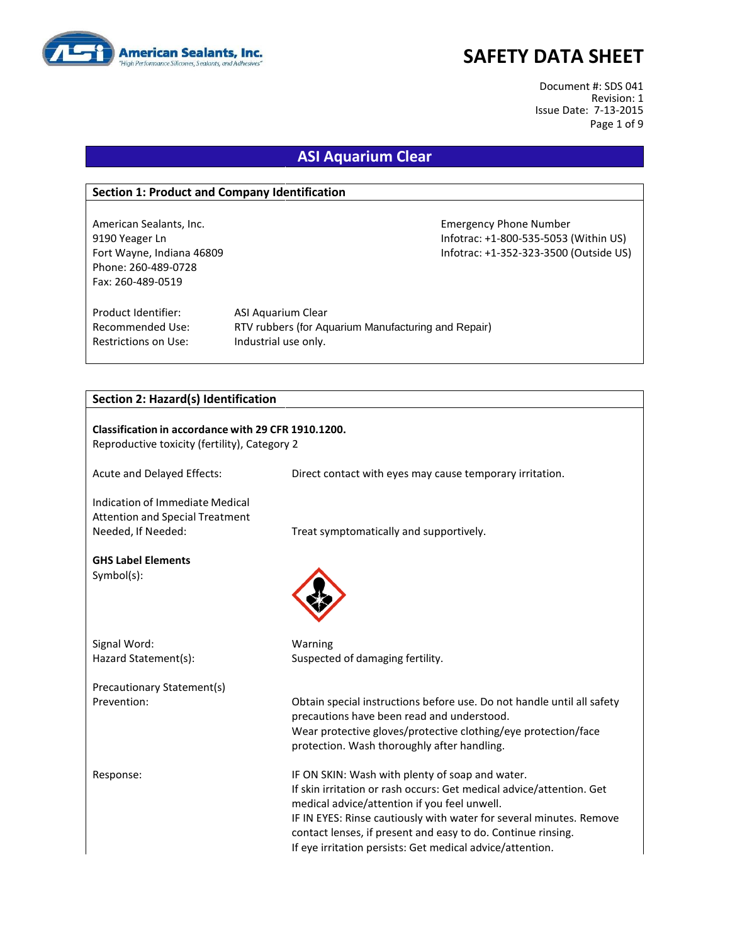

Document #: SDS 041 Revision: 1 Issue Date: 7-13-2015 Page 1 of 9

## **ASI Aquarium Clear**

### **Section 1: Product and Company Identification**

American Sealants, Inc. Emergency Phone Number Phone: 260-489-0728 Fax: 260-489-0519

9190 Yeager Ln Infotrac: +1-800-535-5053 (Within US) Fort Wayne, Indiana 46809 Infotrac: +1-352-323-3500 (Outside US)

Product Identifier: ASI Aquarium Clear Restrictions on Use: Industrial use only.

Recommended Use: RTV rubbers (for Aquarium Manufacturing and Repair)

### **Section 2: Hazard(s) Identification**

| Classification in accordance with 29 CFR 1910.1200.<br>Reproductive toxicity (fertility), Category 2 |                                                                                                                                                                                                                                                                                                                                                                             |  |  |
|------------------------------------------------------------------------------------------------------|-----------------------------------------------------------------------------------------------------------------------------------------------------------------------------------------------------------------------------------------------------------------------------------------------------------------------------------------------------------------------------|--|--|
| Acute and Delayed Effects:                                                                           | Direct contact with eyes may cause temporary irritation.                                                                                                                                                                                                                                                                                                                    |  |  |
| Indication of Immediate Medical<br><b>Attention and Special Treatment</b><br>Needed, If Needed:      | Treat symptomatically and supportively.                                                                                                                                                                                                                                                                                                                                     |  |  |
| <b>GHS Label Elements</b><br>Symbol(s):                                                              |                                                                                                                                                                                                                                                                                                                                                                             |  |  |
| Signal Word:                                                                                         | Warning                                                                                                                                                                                                                                                                                                                                                                     |  |  |
| Hazard Statement(s):                                                                                 | Suspected of damaging fertility.                                                                                                                                                                                                                                                                                                                                            |  |  |
| Precautionary Statement(s)                                                                           |                                                                                                                                                                                                                                                                                                                                                                             |  |  |
| Prevention:                                                                                          | Obtain special instructions before use. Do not handle until all safety<br>precautions have been read and understood.<br>Wear protective gloves/protective clothing/eye protection/face                                                                                                                                                                                      |  |  |
|                                                                                                      | protection. Wash thoroughly after handling.                                                                                                                                                                                                                                                                                                                                 |  |  |
| Response:                                                                                            | IF ON SKIN: Wash with plenty of soap and water.<br>If skin irritation or rash occurs: Get medical advice/attention. Get<br>medical advice/attention if you feel unwell.<br>IF IN EYES: Rinse cautiously with water for several minutes. Remove<br>contact lenses, if present and easy to do. Continue rinsing.<br>If eye irritation persists: Get medical advice/attention. |  |  |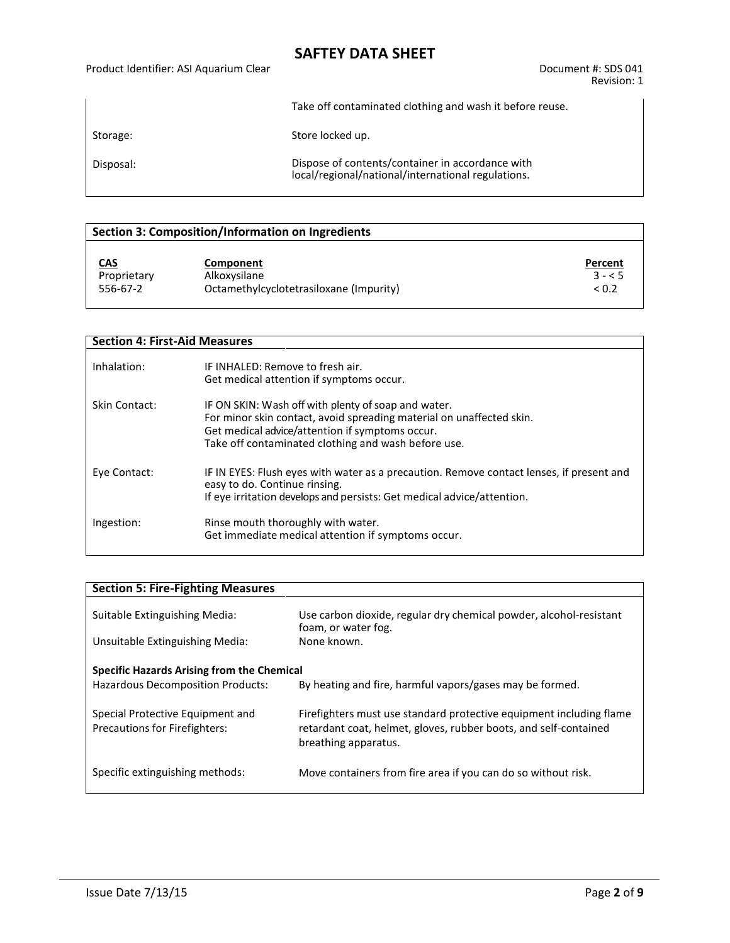### Product Identifier: ASI Aquarium Clear Document #: SDS 041

Take off contaminated clothing and wash it before reuse.

Storage: Storage: Store locked up.

Disposal: Dispose of contents/container in accordance with local/regional/national/international regulations.

## **Section 3: Composition/Information on Ingredients**

| <u>CAS</u>  | Component                               | Percent    |
|-------------|-----------------------------------------|------------|
| Proprietary | Alkoxysilane                            | $3 - 5$    |
| 556-67-2    | Octamethylcyclotetrasiloxane (Impurity) | ${}_{0.2}$ |

### **Section 4: First-Aid Measures**

| Inhalation:   | IF INHALFD: Remove to fresh air.<br>Get medical attention if symptoms occur.                                                                                                                                                          |
|---------------|---------------------------------------------------------------------------------------------------------------------------------------------------------------------------------------------------------------------------------------|
| Skin Contact: | IF ON SKIN: Wash off with plenty of soap and water.<br>For minor skin contact, avoid spreading material on unaffected skin.<br>Get medical advice/attention if symptoms occur.<br>Take off contaminated clothing and wash before use. |
| Eye Contact:  | IF IN EYES: Flush eyes with water as a precaution. Remove contact lenses, if present and<br>easy to do. Continue rinsing.<br>If eye irritation develops and persists: Get medical advice/attention.                                   |
| Ingestion:    | Rinse mouth thoroughly with water.<br>Get immediate medical attention if symptoms occur.                                                                                                                                              |

| <b>Section 5: Fire-Fighting Measures</b>                                               |                                                                                                                                                                 |  |  |
|----------------------------------------------------------------------------------------|-----------------------------------------------------------------------------------------------------------------------------------------------------------------|--|--|
| Suitable Extinguishing Media:                                                          | Use carbon dioxide, regular dry chemical powder, alcohol-resistant<br>foam, or water fog.                                                                       |  |  |
| Unsuitable Extinguishing Media:                                                        | None known.                                                                                                                                                     |  |  |
| Specific Hazards Arising from the Chemical<br><b>Hazardous Decomposition Products:</b> | By heating and fire, harmful vapors/gases may be formed.                                                                                                        |  |  |
| Special Protective Equipment and<br><b>Precautions for Firefighters:</b>               | Firefighters must use standard protective equipment including flame<br>retardant coat, helmet, gloves, rubber boots, and self-contained<br>breathing apparatus. |  |  |
| Specific extinguishing methods:                                                        | Move containers from fire area if you can do so without risk.                                                                                                   |  |  |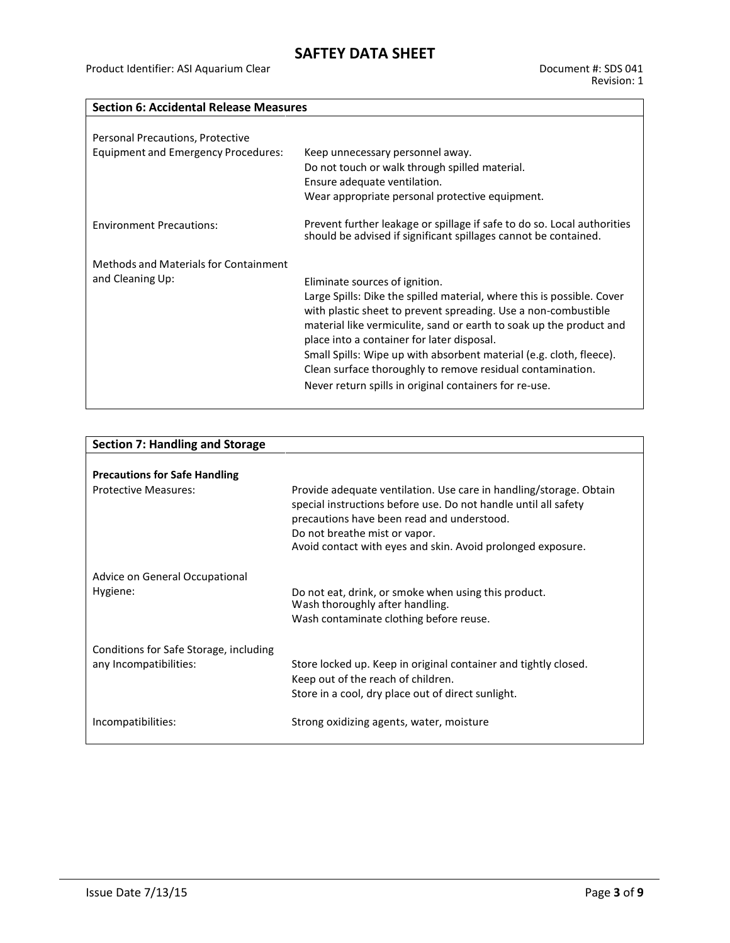## **Section 6: Accidental Release Measures**

| Personal Precautions, Protective<br><b>Equipment and Emergency Procedures:</b> | Keep unnecessary personnel away.<br>Do not touch or walk through spilled material.<br>Ensure adequate ventilation.<br>Wear appropriate personal protective equipment.                                                                                                                                                                                                                                                                                                                          |
|--------------------------------------------------------------------------------|------------------------------------------------------------------------------------------------------------------------------------------------------------------------------------------------------------------------------------------------------------------------------------------------------------------------------------------------------------------------------------------------------------------------------------------------------------------------------------------------|
| <b>Environment Precautions:</b>                                                | Prevent further leakage or spillage if safe to do so. Local authorities<br>should be advised if significant spillages cannot be contained.                                                                                                                                                                                                                                                                                                                                                     |
| Methods and Materials for Containment<br>and Cleaning Up:                      | Eliminate sources of ignition.<br>Large Spills: Dike the spilled material, where this is possible. Cover<br>with plastic sheet to prevent spreading. Use a non-combustible<br>material like vermiculite, sand or earth to soak up the product and<br>place into a container for later disposal.<br>Small Spills: Wipe up with absorbent material (e.g. cloth, fleece).<br>Clean surface thoroughly to remove residual contamination.<br>Never return spills in original containers for re-use. |

| <b>Section 7: Handling and Storage</b>                           |                                                                                                                                                                                                                      |  |  |
|------------------------------------------------------------------|----------------------------------------------------------------------------------------------------------------------------------------------------------------------------------------------------------------------|--|--|
|                                                                  |                                                                                                                                                                                                                      |  |  |
| <b>Precautions for Safe Handling</b>                             |                                                                                                                                                                                                                      |  |  |
| Protective Measures:                                             | Provide adequate ventilation. Use care in handling/storage. Obtain<br>special instructions before use. Do not handle until all safety<br>precautions have been read and understood.<br>Do not breathe mist or vapor. |  |  |
|                                                                  | Avoid contact with eyes and skin. Avoid prolonged exposure.                                                                                                                                                          |  |  |
| Advice on General Occupational<br>Hygiene:                       | Do not eat, drink, or smoke when using this product.<br>Wash thoroughly after handling.<br>Wash contaminate clothing before reuse.                                                                                   |  |  |
| Conditions for Safe Storage, including<br>any Incompatibilities: | Store locked up. Keep in original container and tightly closed.<br>Keep out of the reach of children.<br>Store in a cool, dry place out of direct sunlight.                                                          |  |  |
| Incompatibilities:                                               | Strong oxidizing agents, water, moisture                                                                                                                                                                             |  |  |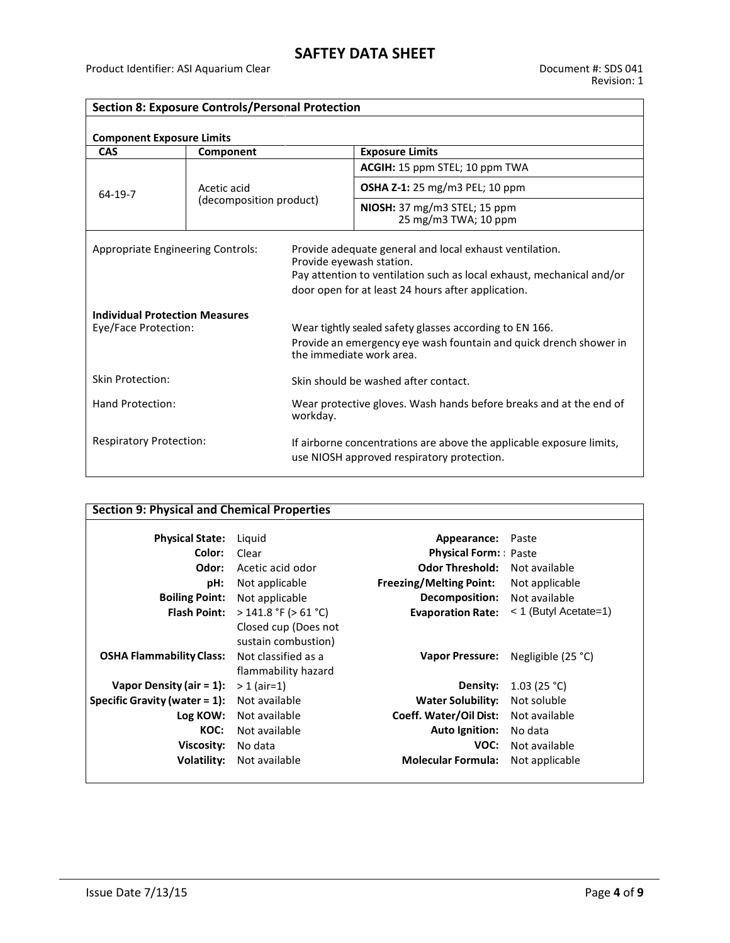$\overline{\phantom{a}}$ 

| <b>Section 8: Exposure Controls/Personal Protection</b>       |                         |                                                                                                                                                          |                                                                                                                                                                                        |  |
|---------------------------------------------------------------|-------------------------|----------------------------------------------------------------------------------------------------------------------------------------------------------|----------------------------------------------------------------------------------------------------------------------------------------------------------------------------------------|--|
| <b>Component Exposure Limits</b>                              |                         |                                                                                                                                                          |                                                                                                                                                                                        |  |
| <b>CAS</b>                                                    | Component               |                                                                                                                                                          | <b>Exposure Limits</b>                                                                                                                                                                 |  |
| 64-19-7                                                       |                         |                                                                                                                                                          | ACGIH: 15 ppm STEL; 10 ppm TWA                                                                                                                                                         |  |
|                                                               | Acetic acid             |                                                                                                                                                          | <b>OSHA Z-1:</b> 25 mg/m3 PEL; 10 ppm                                                                                                                                                  |  |
|                                                               | (decomposition product) |                                                                                                                                                          | NIOSH: 37 mg/m3 STEL; 15 ppm<br>25 mg/m3 TWA; 10 ppm                                                                                                                                   |  |
| <b>Appropriate Engineering Controls:</b>                      |                         | Provide eyewash station.                                                                                                                                 | Provide adequate general and local exhaust ventilation.<br>Pay attention to ventilation such as local exhaust, mechanical and/or<br>door open for at least 24 hours after application. |  |
| <b>Individual Protection Measures</b><br>Eye/Face Protection: |                         | Wear tightly sealed safety glasses according to EN 166.<br>Provide an emergency eye wash fountain and quick drench shower in<br>the immediate work area. |                                                                                                                                                                                        |  |
| <b>Skin Protection:</b>                                       |                         | Skin should be washed after contact.                                                                                                                     |                                                                                                                                                                                        |  |
| Hand Protection:<br>workday.                                  |                         |                                                                                                                                                          | Wear protective gloves. Wash hands before breaks and at the end of                                                                                                                     |  |
| <b>Respiratory Protection:</b>                                |                         |                                                                                                                                                          | If airborne concentrations are above the applicable exposure limits,<br>use NIOSH approved respiratory protection.                                                                     |  |

| <b>Section 9: Physical and Chemical Properties</b> |                           |                                     |                         |
|----------------------------------------------------|---------------------------|-------------------------------------|-------------------------|
| <b>Physical State:</b>                             | Liguid                    | Appearance:                         | Paste                   |
| Color:                                             | Clear                     | <b>Physical Form:</b> Paste         |                         |
| Odor:                                              | Acetic acid odor          | <b>Odor Threshold:</b>              | Not available           |
| pH:                                                | Not applicable            | <b>Freezing/Melting Point:</b>      | Not applicable          |
| <b>Boiling Point:</b>                              | Not applicable            | <b>Decomposition:</b> Not available |                         |
| <b>Flash Point:</b>                                | $>$ 141.8 °F ( $>$ 61 °C) | <b>Evaporation Rate:</b>            | $<$ 1 (Butyl Acetate=1) |
|                                                    | Closed cup (Does not      |                                     |                         |
|                                                    | sustain combustion)       |                                     |                         |
| <b>OSHA Flammability Class:</b>                    | Not classified as a       | <b>Vapor Pressure:</b>              | Negligible $(25 °C)$    |
|                                                    | flammability hazard       |                                     |                         |
| Vapor Density (air $= 1$ ):                        | $> 1$ (air=1)             | Density:                            | 1.03(25 °C)             |
| <b>Specific Gravity (water = 1):</b> Not available |                           | <b>Water Solubility:</b>            | Not soluble             |
| Log KOW:                                           | Not available             | Coeff. Water/Oil Dist:              | Not available           |
| KOC:                                               | Not available             | <b>Auto Ignition:</b>               | No data                 |
| Viscosity:                                         | No data                   | VOC:                                | Not available           |
| Volatility:                                        | Not available             | <b>Molecular Formula:</b>           | Not applicable          |
|                                                    |                           |                                     |                         |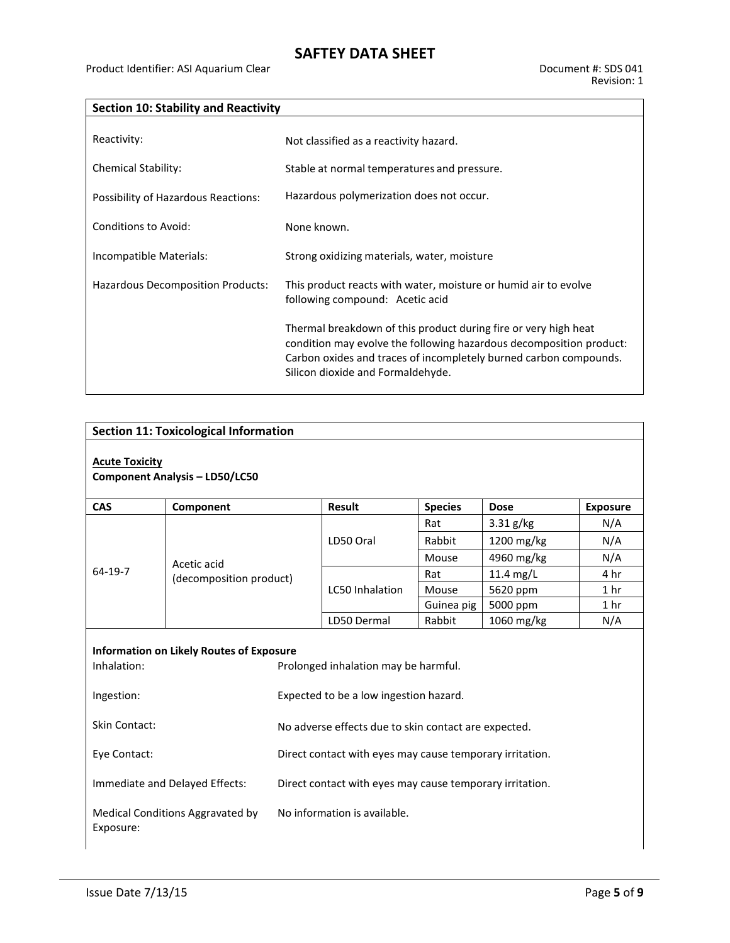## **Section 10: Stability and Reactivity**

| Reactivity:                         | Not classified as a reactivity hazard.                                                                                                                                                                                                           |
|-------------------------------------|--------------------------------------------------------------------------------------------------------------------------------------------------------------------------------------------------------------------------------------------------|
| Chemical Stability:                 | Stable at normal temperatures and pressure.                                                                                                                                                                                                      |
| Possibility of Hazardous Reactions: | Hazardous polymerization does not occur.                                                                                                                                                                                                         |
| Conditions to Avoid:                | None known.                                                                                                                                                                                                                                      |
| Incompatible Materials:             | Strong oxidizing materials, water, moisture                                                                                                                                                                                                      |
| Hazardous Decomposition Products:   | This product reacts with water, moisture or humid air to evolve<br>following compound: Acetic acid                                                                                                                                               |
|                                     | Thermal breakdown of this product during fire or very high heat<br>condition may evolve the following hazardous decomposition product:<br>Carbon oxides and traces of incompletely burned carbon compounds.<br>Silicon dioxide and Formaldehyde. |

# **Section 11: Toxicological Information**

### **Acute Toxicity Component Analysis – LD50/LC50**

| <b>CAS</b>                                      | Component                              | <b>Result</b>                        | <b>Species</b> | <b>Dose</b>          | <b>Exposure</b> |
|-------------------------------------------------|----------------------------------------|--------------------------------------|----------------|----------------------|-----------------|
| 64-19-7                                         | Acetic acid<br>(decomposition product) | LD50 Oral                            | Rat            | $3.31$ g/kg          | N/A             |
|                                                 |                                        |                                      | Rabbit         | $1200 \text{ mg/kg}$ | N/A             |
|                                                 |                                        |                                      | Mouse          | 4960 mg/kg           | N/A             |
|                                                 |                                        | <b>LC50</b> Inhalation               | Rat            | 11.4 $mg/L$          | 4 hr            |
|                                                 |                                        |                                      | Mouse          | 5620 ppm             | 1 <sub>hr</sub> |
|                                                 |                                        |                                      | Guinea pig     | 5000 ppm             | 1 <sub>hr</sub> |
|                                                 |                                        | LD50 Dermal                          | Rabbit         | $1060$ mg/kg         | N/A             |
|                                                 |                                        |                                      |                |                      |                 |
| <b>Information on Likely Routes of Exposure</b> |                                        |                                      |                |                      |                 |
| Inhalation:                                     |                                        | Prolonged inhalation may be harmful. |                |                      |                 |

| Ingestion:                                    | Expected to be a low ingestion hazard.                   |
|-----------------------------------------------|----------------------------------------------------------|
| <b>Skin Contact:</b>                          | No adverse effects due to skin contact are expected.     |
| Eye Contact:                                  | Direct contact with eyes may cause temporary irritation. |
| Immediate and Delayed Effects:                | Direct contact with eyes may cause temporary irritation. |
| Medical Conditions Aggravated by<br>Exposure: | No information is available.                             |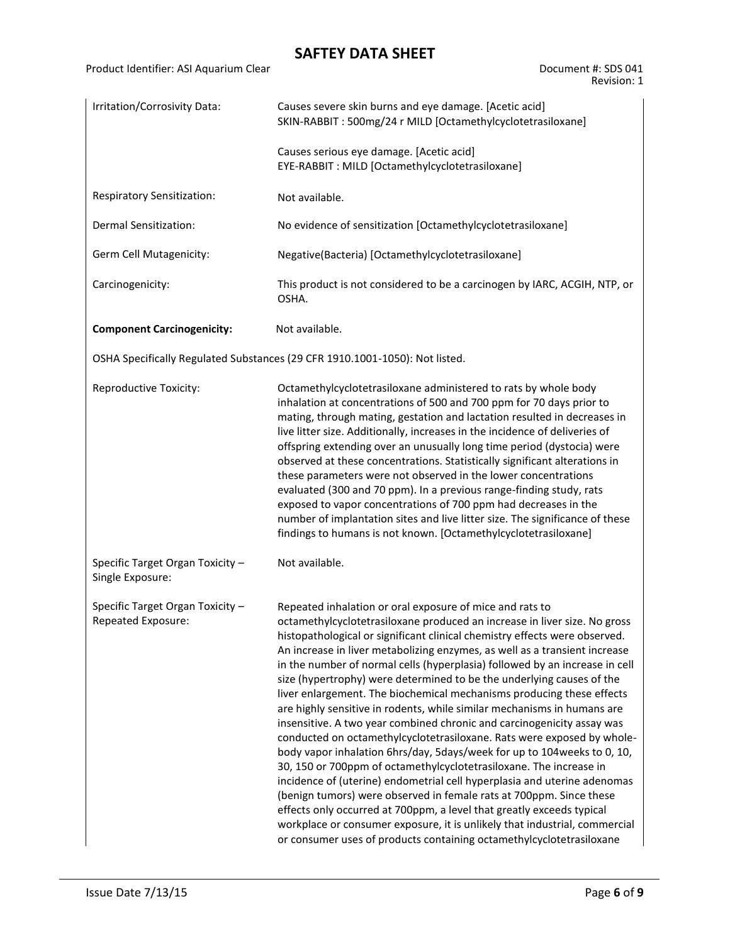Product Identifier: ASI Aquarium Clear

| Document #: SDS 041 |  |
|---------------------|--|
| Revision: 1         |  |

| Irritation/Corrosivity Data:                           | Causes severe skin burns and eye damage. [Acetic acid]<br>SKIN-RABBIT: 500mg/24 r MILD [Octamethylcyclotetrasiloxane]                                                                                                                                                                                                                                                                                                                                                                                                                                                                                                                                                                                                                                                                                                                                                                                                                                                                                                                                                                                                                                                                                                                                                                                |  |  |
|--------------------------------------------------------|------------------------------------------------------------------------------------------------------------------------------------------------------------------------------------------------------------------------------------------------------------------------------------------------------------------------------------------------------------------------------------------------------------------------------------------------------------------------------------------------------------------------------------------------------------------------------------------------------------------------------------------------------------------------------------------------------------------------------------------------------------------------------------------------------------------------------------------------------------------------------------------------------------------------------------------------------------------------------------------------------------------------------------------------------------------------------------------------------------------------------------------------------------------------------------------------------------------------------------------------------------------------------------------------------|--|--|
|                                                        | Causes serious eye damage. [Acetic acid]<br>EYE-RABBIT : MILD [Octamethylcyclotetrasiloxane]                                                                                                                                                                                                                                                                                                                                                                                                                                                                                                                                                                                                                                                                                                                                                                                                                                                                                                                                                                                                                                                                                                                                                                                                         |  |  |
| Respiratory Sensitization:                             | Not available.                                                                                                                                                                                                                                                                                                                                                                                                                                                                                                                                                                                                                                                                                                                                                                                                                                                                                                                                                                                                                                                                                                                                                                                                                                                                                       |  |  |
| Dermal Sensitization:                                  | No evidence of sensitization [Octamethylcyclotetrasiloxane]                                                                                                                                                                                                                                                                                                                                                                                                                                                                                                                                                                                                                                                                                                                                                                                                                                                                                                                                                                                                                                                                                                                                                                                                                                          |  |  |
| Germ Cell Mutagenicity:                                | Negative(Bacteria) [Octamethylcyclotetrasiloxane]                                                                                                                                                                                                                                                                                                                                                                                                                                                                                                                                                                                                                                                                                                                                                                                                                                                                                                                                                                                                                                                                                                                                                                                                                                                    |  |  |
| Carcinogenicity:                                       | This product is not considered to be a carcinogen by IARC, ACGIH, NTP, or<br>OSHA.                                                                                                                                                                                                                                                                                                                                                                                                                                                                                                                                                                                                                                                                                                                                                                                                                                                                                                                                                                                                                                                                                                                                                                                                                   |  |  |
| <b>Component Carcinogenicity:</b>                      | Not available.                                                                                                                                                                                                                                                                                                                                                                                                                                                                                                                                                                                                                                                                                                                                                                                                                                                                                                                                                                                                                                                                                                                                                                                                                                                                                       |  |  |
|                                                        | OSHA Specifically Regulated Substances (29 CFR 1910.1001-1050): Not listed.                                                                                                                                                                                                                                                                                                                                                                                                                                                                                                                                                                                                                                                                                                                                                                                                                                                                                                                                                                                                                                                                                                                                                                                                                          |  |  |
| Reproductive Toxicity:                                 | Octamethylcyclotetrasiloxane administered to rats by whole body<br>inhalation at concentrations of 500 and 700 ppm for 70 days prior to<br>mating, through mating, gestation and lactation resulted in decreases in<br>live litter size. Additionally, increases in the incidence of deliveries of<br>offspring extending over an unusually long time period (dystocia) were<br>observed at these concentrations. Statistically significant alterations in<br>these parameters were not observed in the lower concentrations<br>evaluated (300 and 70 ppm). In a previous range-finding study, rats<br>exposed to vapor concentrations of 700 ppm had decreases in the<br>number of implantation sites and live litter size. The significance of these<br>findings to humans is not known. [Octamethylcyclotetrasiloxane]                                                                                                                                                                                                                                                                                                                                                                                                                                                                            |  |  |
| Specific Target Organ Toxicity -<br>Single Exposure:   | Not available.                                                                                                                                                                                                                                                                                                                                                                                                                                                                                                                                                                                                                                                                                                                                                                                                                                                                                                                                                                                                                                                                                                                                                                                                                                                                                       |  |  |
| Specific Target Organ Toxicity -<br>Repeated Exposure: | Repeated inhalation or oral exposure of mice and rats to<br>octamethylcyclotetrasiloxane produced an increase in liver size. No gross<br>histopathological or significant clinical chemistry effects were observed.<br>An increase in liver metabolizing enzymes, as well as a transient increase<br>in the number of normal cells (hyperplasia) followed by an increase in cell<br>size (hypertrophy) were determined to be the underlying causes of the<br>liver enlargement. The biochemical mechanisms producing these effects<br>are highly sensitive in rodents, while similar mechanisms in humans are<br>insensitive. A two year combined chronic and carcinogenicity assay was<br>conducted on octamethylcyclotetrasiloxane. Rats were exposed by whole-<br>body vapor inhalation 6hrs/day, 5days/week for up to 104weeks to 0, 10,<br>30, 150 or 700ppm of octamethylcyclotetrasiloxane. The increase in<br>incidence of (uterine) endometrial cell hyperplasia and uterine adenomas<br>(benign tumors) were observed in female rats at 700ppm. Since these<br>effects only occurred at 700ppm, a level that greatly exceeds typical<br>workplace or consumer exposure, it is unlikely that industrial, commercial<br>or consumer uses of products containing octamethylcyclotetrasiloxane |  |  |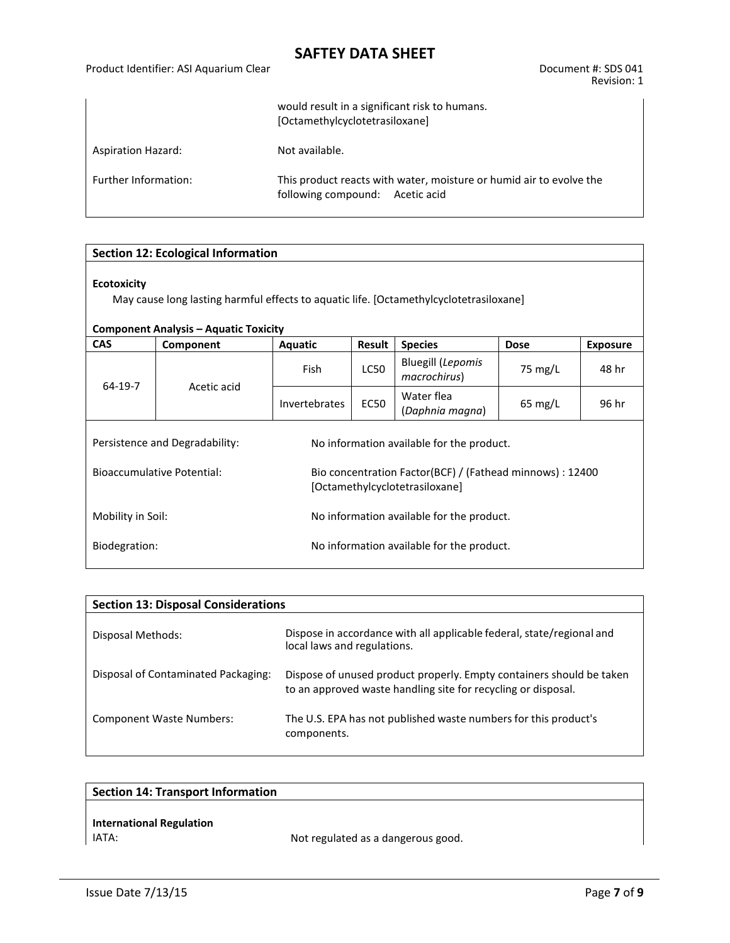### Product Identifier: ASI Aquarium Clear Document #: SDS 041

|                           | would result in a significant risk to humans.<br>[Octamethylcyclotetrasiloxane]                        |  |  |  |
|---------------------------|--------------------------------------------------------------------------------------------------------|--|--|--|
| <b>Aspiration Hazard:</b> | Not available.                                                                                         |  |  |  |
| Further Information:      | This product reacts with water, moisture or humid air to evolve the<br>following compound: Acetic acid |  |  |  |

## **Section 12: Ecological Information**

### **Ecotoxicity**

May cause long lasting harmful effects to aquatic life. [Octamethylcyclotetrasiloxane]

## **Component Analysis – Aquatic Toxicity**

| <b>CAS</b>                                                                                                                       | Component                      | Aquatic                                   | <b>Result</b> | <b>Species</b>                           | <b>Dose</b>       | <b>Exposure</b> |  |
|----------------------------------------------------------------------------------------------------------------------------------|--------------------------------|-------------------------------------------|---------------|------------------------------------------|-------------------|-----------------|--|
| 64-19-7<br>Acetic acid                                                                                                           |                                | Fish                                      | <b>LC50</b>   | <b>Bluegill (Lepomis</b><br>macrochirus) | 75 mg/L           | 48 hr           |  |
|                                                                                                                                  |                                | Invertebrates                             | <b>EC50</b>   | Water flea<br>(Daphnia magna)            | $65 \text{ mg/L}$ | 96 hr           |  |
|                                                                                                                                  | Persistence and Degradability: | No information available for the product. |               |                                          |                   |                 |  |
| <b>Bioaccumulative Potential:</b><br>Bio concentration Factor(BCF) / (Fathead minnows) : 12400<br>[Octamethylcyclotetrasiloxane] |                                |                                           |               |                                          |                   |                 |  |
| Mobility in Soil:                                                                                                                |                                | No information available for the product. |               |                                          |                   |                 |  |
| Biodegration:                                                                                                                    |                                | No information available for the product. |               |                                          |                   |                 |  |

| <b>Section 13: Disposal Considerations</b> |                                                                                                                                       |  |  |  |  |
|--------------------------------------------|---------------------------------------------------------------------------------------------------------------------------------------|--|--|--|--|
| Disposal Methods:                          | Dispose in accordance with all applicable federal, state/regional and<br>local laws and regulations.                                  |  |  |  |  |
| Disposal of Contaminated Packaging:        | Dispose of unused product properly. Empty containers should be taken<br>to an approved waste handling site for recycling or disposal. |  |  |  |  |
| <b>Component Waste Numbers:</b>            | The U.S. EPA has not published waste numbers for this product's<br>components.                                                        |  |  |  |  |

| <b>Section 14: Transport Information</b> |                                    |
|------------------------------------------|------------------------------------|
|                                          |                                    |
| <b>International Regulation</b>          |                                    |
| IATA:                                    | Not regulated as a dangerous good. |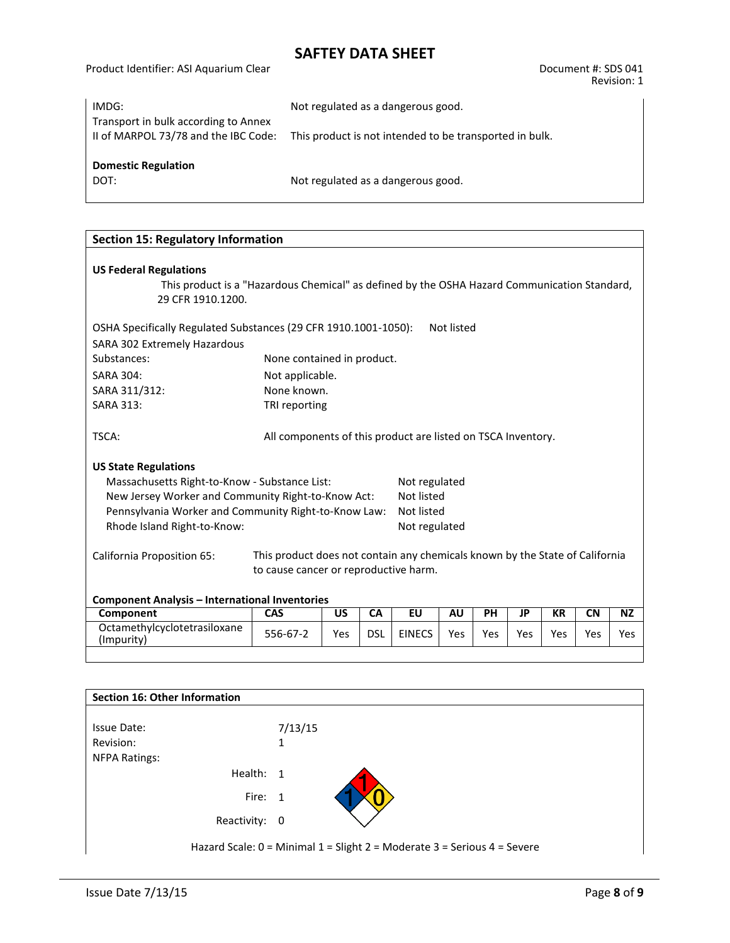Product Identifier: ASI Aquarium Clear Document #: SDS 041 Revision: 1

| IMDG:                                                                        | Not regulated as a dangerous good.                      |
|------------------------------------------------------------------------------|---------------------------------------------------------|
| Transport in bulk according to Annex<br>II of MARPOL 73/78 and the IBC Code: | This product is not intended to be transported in bulk. |
| <b>Domestic Regulation</b><br>DOT:                                           | Not regulated as a dangerous good.                      |
|                                                                              |                                                         |

| <b>Section 15: Regulatory Information</b>                                                                  |                                                              |           |            |               |            |           |           |           |           |           |
|------------------------------------------------------------------------------------------------------------|--------------------------------------------------------------|-----------|------------|---------------|------------|-----------|-----------|-----------|-----------|-----------|
|                                                                                                            |                                                              |           |            |               |            |           |           |           |           |           |
| <b>US Federal Regulations</b>                                                                              |                                                              |           |            |               |            |           |           |           |           |           |
| This product is a "Hazardous Chemical" as defined by the OSHA Hazard Communication Standard,               |                                                              |           |            |               |            |           |           |           |           |           |
| 29 CFR 1910.1200.                                                                                          |                                                              |           |            |               |            |           |           |           |           |           |
| OSHA Specifically Regulated Substances (29 CFR 1910.1001-1050):                                            |                                                              |           |            |               | Not listed |           |           |           |           |           |
| SARA 302 Extremely Hazardous                                                                               |                                                              |           |            |               |            |           |           |           |           |           |
| Substances:                                                                                                | None contained in product.                                   |           |            |               |            |           |           |           |           |           |
| <b>SARA 304:</b>                                                                                           | Not applicable.                                              |           |            |               |            |           |           |           |           |           |
| SARA 311/312:                                                                                              | None known.                                                  |           |            |               |            |           |           |           |           |           |
| <b>SARA 313:</b>                                                                                           | TRI reporting                                                |           |            |               |            |           |           |           |           |           |
|                                                                                                            |                                                              |           |            |               |            |           |           |           |           |           |
| TSCA:                                                                                                      | All components of this product are listed on TSCA Inventory. |           |            |               |            |           |           |           |           |           |
|                                                                                                            |                                                              |           |            |               |            |           |           |           |           |           |
| <b>US State Regulations</b>                                                                                |                                                              |           |            |               |            |           |           |           |           |           |
| Massachusetts Right-to-Know - Substance List:                                                              |                                                              |           |            | Not regulated |            |           |           |           |           |           |
| New Jersey Worker and Community Right-to-Know Act:                                                         |                                                              |           |            | Not listed    |            |           |           |           |           |           |
| Pennsylvania Worker and Community Right-to-Know Law:                                                       |                                                              |           |            | Not listed    |            |           |           |           |           |           |
| Rhode Island Right-to-Know:<br>Not regulated                                                               |                                                              |           |            |               |            |           |           |           |           |           |
| This product does not contain any chemicals known by the State of California<br>California Proposition 65: |                                                              |           |            |               |            |           |           |           |           |           |
|                                                                                                            | to cause cancer or reproductive harm.                        |           |            |               |            |           |           |           |           |           |
|                                                                                                            |                                                              |           |            |               |            |           |           |           |           |           |
| <b>Component Analysis - International Inventories</b>                                                      |                                                              |           |            |               |            |           |           |           |           |           |
| Component                                                                                                  | <b>CAS</b>                                                   | <b>US</b> | CA         | <b>EU</b>     | <b>AU</b>  | <b>PH</b> | <b>JP</b> | <b>KR</b> | <b>CN</b> | <b>NZ</b> |
| Octamethylcyclotetrasiloxane<br>(Impurity)                                                                 | 556-67-2                                                     | Yes       | <b>DSL</b> | <b>EINECS</b> | <b>Yes</b> | Yes       | Yes       | Yes       | Yes       | Yes       |
|                                                                                                            |                                                              |           |            |               |            |           |           |           |           |           |

| Section 16: Other Information                                            |         |  |  |  |
|--------------------------------------------------------------------------|---------|--|--|--|
|                                                                          |         |  |  |  |
| Issue Date:                                                              | 7/13/15 |  |  |  |
| Revision:                                                                |         |  |  |  |
| <b>NFPA Ratings:</b>                                                     |         |  |  |  |
| Health: 1                                                                |         |  |  |  |
| Fire: 1                                                                  |         |  |  |  |
| Reactivity: 0                                                            |         |  |  |  |
| Hazard Scale: 0 = Minimal 1 = Slight 2 = Moderate 3 = Serious 4 = Severe |         |  |  |  |